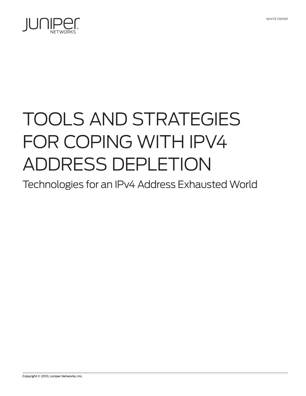

# Tools and Strategies for Coping with IPv4 Address Depletion

Technologies for an IPv4 Address Exhausted World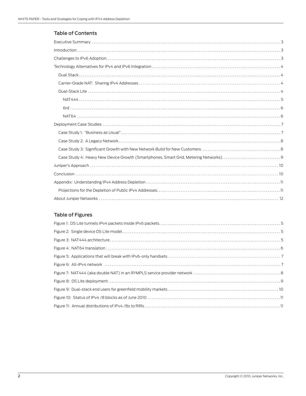## Table of Contents

| $Introduction \dots 3$ |
|------------------------|
|                        |
|                        |
|                        |
|                        |
|                        |
|                        |
|                        |
|                        |
|                        |
|                        |
|                        |
|                        |
|                        |
|                        |
|                        |
|                        |
|                        |
|                        |

# Table of Figures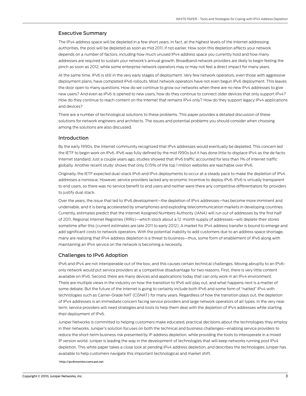#### <span id="page-2-0"></span>Executive Summary

The IPv4 address space will be depleted in a few short years. In fact, at the highest levels of the Internet addressing authorities, the pool will be depleted as soon as mid 2011, if not earlier. How soon this depletion affects your network depends on a number of factors, including how much unused IPv4 address space you currently hold and how many addresses are required to sustain your network's annual growth. Broadband network providers are likely to begin feeling the pinch as soon as 2012, while some enterprise network operators may or may not feel a direct impact for many years.

At the same time, IPv6 is still in the very early stages of deployment. Very few network operators, even those with aggressive deployment plans, have completed IPv6 rollouts. Most network operators have not even begun IPv6 deployment. This leaves the door open to many questions. How do we continue to grow our networks when there are no new IPv4 addresses to give new users? And even as IPv6 is opened to new users, how do they continue to connect older devices that only support IPv4? How do they continue to reach content on the Internet that remains IPv4 only? How do they support legacy IPv4 applications and devices?

There are a number of technological solutions to these problems. This paper provides a detailed discussion of these solutions for network engineers and architects. The issues and potential problems you should consider when choosing among the solutions are also discussed.

#### Introduction

By the early 1990s, the Internet community recognized that IPv4 addresses would eventually be depleted. This concern led the IETF to begin work on IPv6. IPv6 was fully defined by the mid 1990s but it has done little to displace IPv4 as the de facto Internet standard. Just a couple years ago, studies showed that IPv6 traffic accounted for less than 1% of Internet traffic globally. Another recent study<sup>1</sup> shows that only 0.15% of the top 1 million websites are reachable over IPv6.

Originally, the IETF expected dual-stack IPv6 and IPv4 deployments to occur at a steady pace to make the depletion of IPv4 addresses a nonissue. However, service providers lacked any economic incentive to deploy IPv6. IPv6 is virtually transparent to end users, so there was no service benefit to end users and neither were there any competitive differentiators for providers to justify dual stack.

Over the years, the issue that led to IPv6 development—the depletion of IPv4 addresses—has become more imminent and undeniable, and it is being accelerated by smartphones and exploding telecommunication markets in developing countries. Currently, estimates predict that the Internet Assigned Numbers Authority (IANA) will run out of addresses by the first half of 2011. Regional Internet Registries (RIRs)—which stock about a 12 month supply of addresses—will deplete their stores sometime after this (current estimates are late 2011 to early 2012). A market for IPv4 address transfer is bound to emerge and add significant costs to network operators. With the potential inability to add customers due to an address space shortage, many are realizing that IPv4 address depletion is a threat to business—thus, some form of enablement of IPv6 along with maintaining an IPv4 service on the network is becoming a necessity.

#### Challenges to IPv6 Adoption

IPv6 and IPv4 are not interoperable out of the box, and this causes certain technical challenges. Moving abruptly to an IPv6 only network would put service providers at a competitive disadvantage for two reasons. First, there is very little content available on IPv6. Second, there are many devices and applications today that can only work in an IPv4 environment. There are multiple views in the industry on how the transition to IPv6 will play out, and what happens next is a matter of some debate. But the future of the Internet is going to certainly include both IPv6 and some form of "natted" IPv4 with technologies such as Carrier-Grade NAT (CGNAT) for many years. Regardless of how the transition plays out, the depletion of IPv4 addresses is an immediate concern facing service providers and large network operators of all types. In the very near term, service providers will need strategies and tools to help them deal with the depletion of IPv4 addresses while starting their deployment of IPv6.

Juniper Networks is committed to helping customers make educated, practical decisions about the technologies they employ in their networks. Juniper's solution focuses on both the technical and business challenges—enabling service providers to reduce the short-term business risk presented by IP address depletion, while providing the tools to interoperate in a mixed IP version world. Juniper is leading the way in the development of technologies that will keep networks running post IPv4 depletion. This white paper takes a close look at pending IPv4 address depletion, and describes the technologies Juniper has available to help customers navigate this important technological and market shift.

1 http://ipv6monitor.comcast.net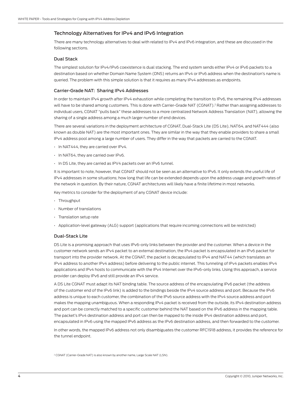## <span id="page-3-0"></span>Technology Alternatives for IPv4 and IPv6 Integration

There are many technology alternatives to deal with related to IPv4 and IPv6 integration, and these are discussed in the following sections.

#### Dual Stack

The simplest solution for IPv4/IPv6 coexistence is dual stacking. The end system sends either IPv4 or IPv6 packets to a destination based on whether Domain Name System (DNS) returns an IPv4 or IPv6 address when the destination's name is queried. The problem with this simple solution is that it requires as many IPv4 addresses as endpoints.

#### Carrier-Grade NAT: Sharing IPv4 Addresses

In order to maintain IPv4 growth after IPv4 exhaustion while completing the transition to IPv6, the remaining IPv4 addresses will have to be shared among customers. This is done with Carrier-Grade NAT (CGNAT).<sup>2</sup> Rather than assigning addresses to individual users, CGNAT "pulls back" these addresses to a more centralized Network Address Translation (NAT), allowing the sharing of a single address among a much larger number of end devices.

There are several variations in the deployment architecture of CGNAT, Dual-Stack Lite (DS Lite), NAT64, and NAT444 (also known as double NAT) are the most important ones. They are similar in the way that they enable providers to share a small IPv4 address pool among a large number of users. They differ in the way that packets are carried to the CGNAT.

- In NAT444, they are carried over IPv4.
- In NAT64, they are carried over IPv6.
- In DS Lite, they are carried as IPV4 packets over an IPv6 tunnel.

It is important to note, however, that CGNAT should not be seen as an alternative to IPv6. It only extends the useful life of IPv4 addresses in some situations; how long that life can be extended depends upon the address usage and growth rates of the network in question. By their nature, CGNAT architectures will likely have a finite lifetime in most networks.

Key metrics to consider for the deployment of any CGNAT device include:

- Throughput
- Number of translations
- Translation setup rate
- Application-level gateway (ALG) support (applications that require incoming connections will be restricted)

#### Dual-Stack Lite

DS Lite is a promising approach that uses IPv6-only links between the provider and the customer. When a device in the customer network sends an IPv4 packet to an external destination, the IPv4 packet is encapsulated in an IPv6 packet for transport into the provider network. At the CGNAT, the packet is decapsulated to IPv4 and NAT44 (which translates an IPv4 address to another IPv4 address) before delivering to the public internet. This tunneling of IPv4 packets enables IPv4 applications and IPv4 hosts to communicate with the IPv4 Internet over the IPv6-only links. Using this approach, a service provider can deploy IPv6 and still provide an IPv4 service.

A DS Lite CGNAT must adapt its NAT binding table. The source address of the encapsulating IPv6 packet (the address of the customer end of the IPv6 link) is added to the bindings beside the IPv4 source address and port. Because the IPv6 address is unique to each customer, the combination of the IPv6 source address with the IPv4 source address and port makes the mapping unambiguous. When a responding IPv4 packet is received from the outside, its IPv4 destination address and port can be correctly matched to a specific customer behind the NAT based on the IPv6 address in the mapping table. The packet's IPv4 destination address and port can then be mapped to the inside IPv4 destination address and port, encapsulated in IPv6 using the mapped IPv6 address as the IPv6 destination address, and then forwarded to the customer.

In other words, the mapped IPv6 address not only disambiguates the customer RFC1918 address, it provides the reference for the tunnel endpoint.

<sup>2</sup> CGNAT (Carrier-Grade NAT) is also known by another name, Large Scale NAT (LSN).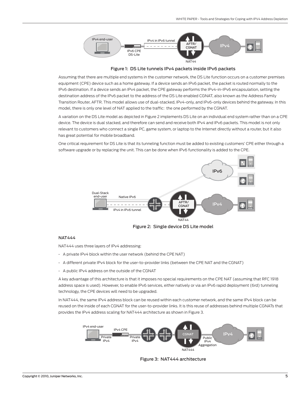<span id="page-4-0"></span>

Figure 1: DS Lite tunnels IPv4 packets inside IPv6 packets

Assuming that there are multiple end systems in the customer network, the DS Lite function occurs on a customer premises equipment (CPE) device such as a home gateway. If a device sends an IPv6 packet, the packet is routed normally to the IPv6 destination. If a device sends an IPv4 packet, the CPE gateway performs the IPv4-in-IPv6 encapsulation, setting the destination address of the IPv6 packet to the address of the DS Lite enabled CGNAT, also known as the Address Family Transition Router, AFTR. This model allows use of dual-stacked, IPv4-only, and IPv6-only devices behind the gateway. In this model, there is only one level of NAT applied to the traffic: the one performed by the CGNAT.

A variation on the DS Lite model as depicted in Figure 2 implements DS Lite on an individual end system rather than on a CPE device. The device is dual stacked, and therefore can send and receive both IPv4 and IPv6 packets. This model is not only relevant to customers who connect a single PC, game system, or laptop to the Internet directly without a router, but it also has great potential for mobile broadband.

One critical requirement for DS Lite is that its tunneling function must be added to existing customers' CPE either through a software upgrade or by replacing the unit. This can be done when IPv6 functionality is added to the CPE.



Figure 2: Single device DS Lite model

#### NAT444

NAT444 uses three layers of IPv4 addressing:

- A private IPv4 block within the user network (behind the CPE NAT)
- A different private IPv4 block for the user-to-provider links (between the CPE NAT and the CGNAT)
- A public IPv4 address on the outside of the CGNAT

A key advantage of this architecture is that it imposes no special requirements on the CPE NAT (assuming that RFC 1918 address space is used). However, to enable IPv6 services, either natively or via an IPv6 rapid deployment (6rd) tunneling technology, the CPE devices will need to be upgraded.

In NAT444, the same IPv4 address block can be reused within each customer network, and the same IPv4 block can be reused on the inside of each CGNAT for the user-to-provider links. It is this reuse of addresses behind multiple CGNATs that provides the IPv4 address scaling for NAT444 architecture as shown in Figure 3.



Figure 3: NAT444 architecture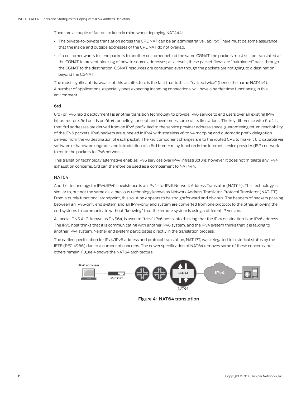<span id="page-5-0"></span>There are a couple of factors to keep in mind when deploying NAT444:

- The private-to-private translation across the CPE NAT can be an administrative liability: There must be some assurance that the inside and outside addresses of the CPE NAT do not overlap.
- If a customer wants to send packets to another customer behind the same CGNAT, the packets must still be translated at the CGNAT to prevent blocking of private source addresses; as a result, these packet flows are "hairpinned" back through the CGNAT to the destination. CGNAT resources are consumed even though the packets are not going to a destination beyond the CGNAT

The most significant drawback of this architecture is the fact that traffic is "natted twice" (hence the name NAT444). A number of applications, especially ones expecting incoming connections, will have a harder time functioning in this environment.

#### 6rd

6rd (or IPv6 rapid deployment) is another transition technology to provide IPv6 service to end users over an existing IPv4 infrastructure. 6rd builds on 6to4 tunneling concept and overcomes some of its limitations. The key difference with 6to4 is that 6rd addresses are derived from an IPv6 prefix tied to the service provider address space, guaranteeing return reachability of the IPv6 packets. IPv6 packets are tunneled in IPv4 with stateless v6 to v4 mapping and automatic prefix delegation derived from the v6 destination of each packet. The key component changes are to the routed CPE to make it 6rd capable via software or hardware upgrade, and introduction of a 6rd border relay function in the Internet service provider (ISP) network to route the packets to IPv6 networks.

This transition technology alternative enables IPv6 services over IPv4 infrastructure; however, it does not mitigate any IPv4 exhaustion concerns. 6rd can therefore be used as a complement to NAT444.

#### NAT64

Another technology for IPv4/IPv6 coexistence is an IPv4–to-IPv6 Network Address Translator (NAT64). This technology is similar to, but not the same as, a previous technology known as Network Address Translator-Protocol Translator (NAT-PT). From a purely functional standpoint, this solution appears to be straightforward and obvious. The headers of packets passing between an IPv6-only end system and an IPv4-only end system are converted from one protocol to the other, allowing the end systems to communicate without "knowing" that the remote system is using a different IP version.

A special DNS ALG, known as DNS64, is used to "trick" IPv6 hosts into thinking that the IPv4 destination is an IPv6 address. The IPv6 host thinks that it is communicating with another IPv6 system, and the IPv4 system thinks that it is talking to another IPv4 system. Neither end system participates directly in the translation process.

The earlier specification for IPv4/IPv6 address and protocol translation, NAT-PT, was relegated to historical status by the IETF (RFC 4966) due to a number of concerns. The newer specification of NAT64 removes some of these concerns, but others remain. Figure 4 shows the NAT64 architecture.



Figure 4: NAT64 translation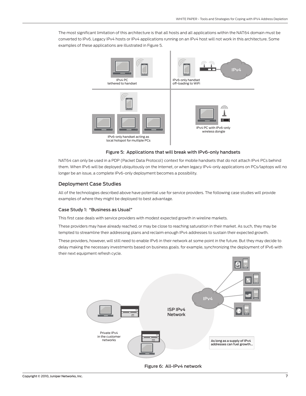<span id="page-6-0"></span>The most significant limitation of this architecture is that all hosts and all applications within the NAT64 domain must be converted to IPv6. Legacy IPv4 hosts or IPv4 applications running on an IPv4 host will not work in this architecture. Some examples of these applications are illustrated in Figure 5.



#### Figure 5: Applications that will break with IPv6-only handsets

NAT64 can only be used in a PDP (Packet Data Protocol) context for mobile handsets that do not attach IPv4 PCs behind them. When IPv6 will be deployed ubiquitously on the Internet, or when legacy IPv4-only applications on PCs/laptops will no longer be an issue, a complete IPv6-only deployment becomes a possibility.

## Deployment Case Studies

All of the technologies described above have potential use for service providers. The following case studies will provide examples of where they might be deployed to best advantage.

#### Case Study 1: "Business as Usual"

This first case deals with service providers with modest expected growth in wireline markets.

These providers may have already reached, or may be close to reaching saturation in their market. As such, they may be tempted to streamline their addressing plans and reclaim enough IPv4 addresses to sustain their expected growth.

These providers, however, will still need to enable IPv6 in their network at some point in the future. But they may decide to delay making the necessary investments based on business goals. for example, synchronizing the deployment of IPv6 with their next equipment refresh cycle.



Figure 6: All-IPv4 network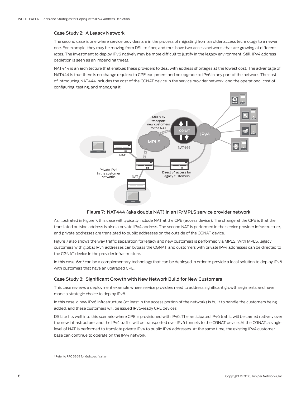#### <span id="page-7-0"></span>Case Study 2: A Legacy Network

The second case is one where service providers are in the process of migrating from an older access technology to a newer one. For example, they may be moving from DSL to fiber, and thus have two access networks that are growing at different rates. The investment to deploy IPv6 natively may be more difficult to justify in the legacy environment. Still, IPv4 address depletion is seen as an impending threat.

NAT444 is an architecture that enables these providers to deal with address shortages at the lowest cost. The advantage of NAT444 is that there is no change required to CPE equipment and no upgrade to IPv6 in any part of the network. The cost of introducing NAT444 includes the cost of the CGNAT device in the service provider network, and the operational cost of configuring, testing, and managing it.



#### Figure 7: NAT444 (aka double NAT) in an IP/MPLS service provider network

As illustrated in Figure 7, this case will typically include NAT at the CPE (access device). The change at the CPE is that the translated outside address is also a private IPv4 address. The second NAT is performed in the service provider infrastructure, and private addresses are translated to public addresses on the outside of the CGNAT device.

Figure 7 also shows the way traffic separation for legacy and new customers is performed via MPLS. With MPLS, legacy customers with global IPv4 addresses can bypass the CGNAT, and customers with private IPv4 addresses can be directed to the CGNAT device in the provider infrastructure.

In this case, 6rd<sup>3</sup> can be a complementary technology that can be deployed in order to provide a local solution to deploy IPv6 with customers that have an upgraded CPE.

#### Case Study 3: Significant Growth with New Network Build for New Customers

This case reviews a deployment example where service providers need to address significant growth segments and have made a strategic choice to deploy IPv6.

In this case, a new IPv6 infrastructure (at least in the access portion of the network) is built to handle the customers being added, and these customers will be issued IPv6-ready CPE devices.

DS Lite fits well into this scenario where CPE is provisioned with IPv6. The anticipated IPv6 traffic will be carried natively over the new infrastructure, and the IPv4 traffic will be transported over IPv6 tunnels to the CGNAT device. At the CGNAT, a single level of NAT is performed to translate private IPv4 to public IPv4 addresses. At the same time, the existing IPv4 customer base can continue to operate on the IPv4 network.

<sup>3</sup> Refer to RFC 5969 for 6rd specification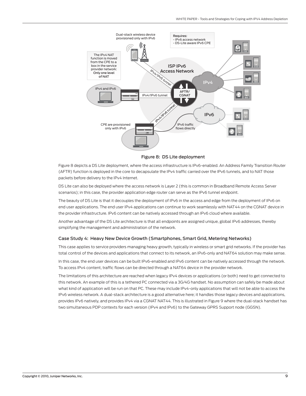<span id="page-8-0"></span>

Figure 8: DS Lite deployment

Figure 8 depicts a DS Lite deployment, where the access infrastructure is IPv6-enabled. An Address Family Transition Router (AFTR) function is deployed in the core to decapsulate the IPv4 traffic carried over the IPv6 tunnels, and to NAT those packets before delivery to the IPv4 Internet.

DS Lite can also be deployed where the access network is Layer 2 (this is common in Broadband Remote Access Server scenarios); in this case, the provider application edge router can serve as the IPv6 tunnel endpoint.

The beauty of DS Lite is that it decouples the deployment of IPv6 in the access and edge from the deployment of IPv6 on end user applications. The end user IPv4 applications can continue to work seamlessly with NAT44 on the CGNAT device in the provider infrastructure. IPv6 content can be natively accessed through an IPv6 cloud where available.

Another advantage of the DS Lite architecture is that all endpoints are assigned unique, global IPv6 addresses, thereby simplifying the management and administration of the network.

#### Case Study 4: Heavy New Device Growth (Smartphones, Smart Grid, Metering Networks)

This case applies to service providers managing heavy growth, typically in wireless or smart grid networks. If the provider has total control of the devices and applications that connect to its network, an IPv6-only and NAT64 solution may make sense.

In this case, the end user devices can be built IPv6-enabled and IPv6 content can be natively accessed through the network. To access IPv4 content, traffic flows can be directed through a NAT64 device in the provider network.

The limitations of this architecture are reached when legacy IPv4 devices or applications (or both) need to get connected to this network. An example of this is a tethered PC connected via a 3G/4G handset. No assumption can safely be made about what kind of application will be run on that PC. These may include IPv4-only applications that will not be able to access the IPv6 wireless network. A dual-stack architecture is a good alternative here; it handles those legacy devices and applications, provides IPv6 natively, and provides IPv4 via a CGNAT NAT44. This is illustrated in Figure 9 where the dual-stack handset has two simultaneous PDP contexts for each version (IPv4 and IPv6) to the Gateway GPRS Support node (GGSN).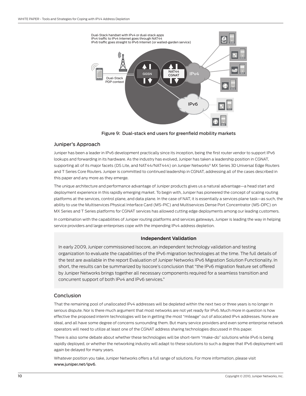<span id="page-9-0"></span>

Figure 9: Dual-stack end users for greenfield mobility markets

#### Juniper's Approach

Juniper has been a leader in IPv6 development practically since its inception, being the first router vendor to support IPv6 lookups and forwarding in its hardware. As the industry has evolved, Juniper has taken a leadership position in CGNAT, supporting all of its major facets (DS Lite, and NAT44/NAT444) on Juniper Networks® MX Series 3D Universal Edge Routers and T Series Core Routers. Juniper is committed to continued leadership in CGNAT, addressing all of the cases described in this paper and any more as they emerge.

The unique architecture and performance advantage of Juniper products gives us a natural advantage—a head start and deployment experience in this rapidly emerging market. To begin with, Juniper has pioneered the concept of scaling routing platforms at the services, control plane, and data plane. In the case of NAT, it is essentially a services plane task—as such, the ability to use the Multiservices Physical Interface Card (MS-PIC) and Multiservices Dense Port Concentrator (MS-DPC) on MX Series and T Series platforms for CGNAT services has allowed cutting edge deployments among our leading customers.

In combination with the capabilities of Juniper routing platforms and services gateways, Juniper is leading the way in helping service providers and large enterprises cope with the impending IPv4 address depletion.

#### **Independent Validation**

In early 2009, Juniper commissioned Isocore, an independent technology validation and testing organization to evaluate the capabilities of the IPv6 migration technologies at the time. The full details of the test are available in the report Evaluation of Juniper Networks IPv6 Migration Solution Functionality. In short, the results can be summarized by Isocore's conclusion that "the IPv6 migration feature set offered by Juniper Networks brings together all necessary components required for a seamless transition and concurrent support of both IPv4 and IPv6 services."

#### **Conclusion**

That the remaining pool of unallocated IPv4 addresses will be depleted within the next two or three years is no longer in serious dispute. Nor is there much argument that most networks are not yet ready for IPv6. Much more in question is how effective the proposed interim technologies will be in getting the most "mileage" out of allocated IPv4 addresses. None are ideal, and all have some degree of concerns surrounding them. But many service providers and even some enterprise network operators will need to utilize at least one of the CGNAT address sharing technologies discussed in this paper.

There is also some debate about whether these technologies will be short-term "make-do" solutions while IPv6 is being rapidly deployed, or whether the networking industry will adapt to these solutions to such a degree that IPv6 deployment will again be delayed for many years.

Whatever position you take, Juniper Networks offers a full range of solutions. For more information, please visit www.juniper.net/ipv6.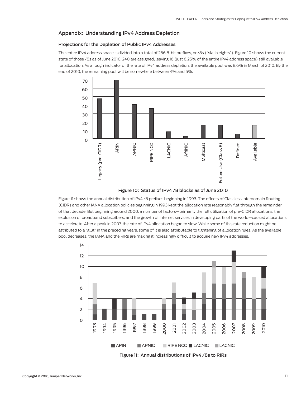### <span id="page-10-0"></span>Appendix: Understanding IPv4 Address Depletion

#### Projections for the Depletion of Public IPv4 Addresses

The entire IPv4 address space is divided into a total of 256 8-bit prefixes, or /8s ("slash eights"). Figure 10 shows the current state of those /8s as of June 2010. 240 are assigned, leaving 16 (just 6.25% of the entire IPv4 address space) still available for allocation. As a rough indicator of the rate of IPv4 address depletion, the available pool was 8.6% in March of 2010. By the end of 2010, the remaining pool will be somewhere between 4% and 5%.



#### Figure 10: Status of IPv4 /8 blocks as of June 2010

Figure 11 shows the annual distribution of IPv4 /8 prefixes beginning in 1993. The effects of Classless Interdomain Routing (CIDR) and other IANA allocation policies beginning in 1993 kept the allocation rate reasonably flat through the remainder of that decade. But beginning around 2000, a number of factors—primarily the full utilization of pre-CIDR allocations, the explosion of broadband subscribers, and the growth of Internet services in developing parts of the world—caused allocations to accelerate. After a peak in 2007, the rate of IPv4 allocation began to slow. While some of this rate reduction might be attributed to a "glut" in the preceding years, some of it is also attributable to tightening of allocation rules. As the available pool decreases, the IANA and the RIRs are making it increasingly difficult to acquire new IPv4 addresses.